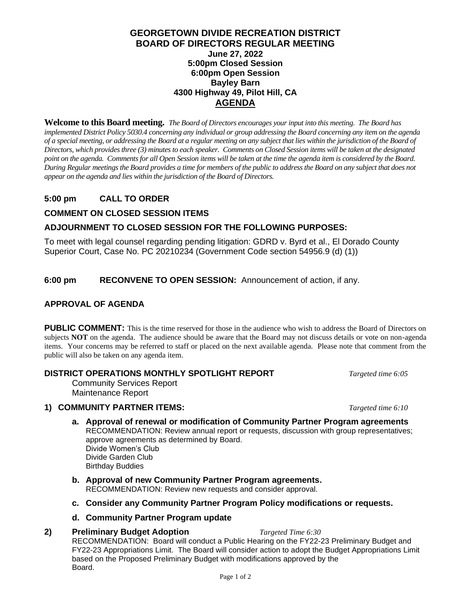### **GEORGETOWN DIVIDE RECREATION DISTRICT BOARD OF DIRECTORS REGULAR MEETING June 27, 2022 5:00pm Closed Session 6:00pm Open Session Bayley Barn 4300 Highway 49, Pilot Hill, CA AGENDA**

**Welcome to this Board meeting.** *The Board of Directors encourages your input into this meeting. The Board has implemented District Policy 5030.4 concerning any individual or group addressing the Board concerning any item on the agenda of a special meeting, or addressing the Board at a regular meeting on any subject that lies within the jurisdiction of the Board of Directors, which provides three (3) minutes to each speaker. Comments on Closed Session items will be taken at the designated point on the agenda. Commentsfor all Open Session items will be taken at the time the agenda item is considered by the Board. During Regular meetings the Board provides a time for members of the public to address the Board on any subject that does not appear on the agenda and lies within the jurisdiction of the Board of Directors.*

# **5:00 pm CALL TO ORDER**

## **COMMENT ON CLOSED SESSION ITEMS**

### **ADJOURNMENT TO CLOSED SESSION FOR THE FOLLOWING PURPOSES:**

To meet with legal counsel regarding pending litigation: GDRD v. Byrd et al., El Dorado County Superior Court, Case No. PC 20210234 (Government Code section 54956.9 (d) (1))

**6:00 pm RECONVENE TO OPEN SESSION:** Announcement of action, if any.

### **APPROVAL OF AGENDA**

**PUBLIC COMMENT:** This is the time reserved for those in the audience who wish to address the Board of Directors on subjects **NOT** on the agenda. The audience should be aware that the Board may not discuss details or vote on non-agenda items. Your concerns may be referred to staff or placed on the next available agenda. Please note that comment from the public will also be taken on any agenda item.

#### **DISTRICT OPERATIONS MONTHLY SPOTLIGHT REPORT** *Targeted time 6:05*

Community Services Report Maintenance Report

## **1) COMMUNITY PARTNER ITEMS:** *Targeted time 6:10*

- **a. Approval of renewal or modification of Community Partner Program agreements** RECOMMENDATION: Review annual report or requests, discussion with group representatives; approve agreements as determined by Board. Divide Women's Club Divide Garden Club Birthday Buddies
- **b. Approval of new Community Partner Program agreements.** RECOMMENDATION: Review new requests and consider approval.
- **c. Consider any Community Partner Program Policy modifications or requests.**

#### **d. Community Partner Program update**

#### **2) Preliminary Budget Adoption** *Targeted Time 6:30*

RECOMMENDATION: Board will conduct a Public Hearing on the FY22-23 Preliminary Budget and FY22-23 Appropriations Limit. The Board will consider action to adopt the Budget Appropriations Limit based on the Proposed Preliminary Budget with modifications approved by the Board.